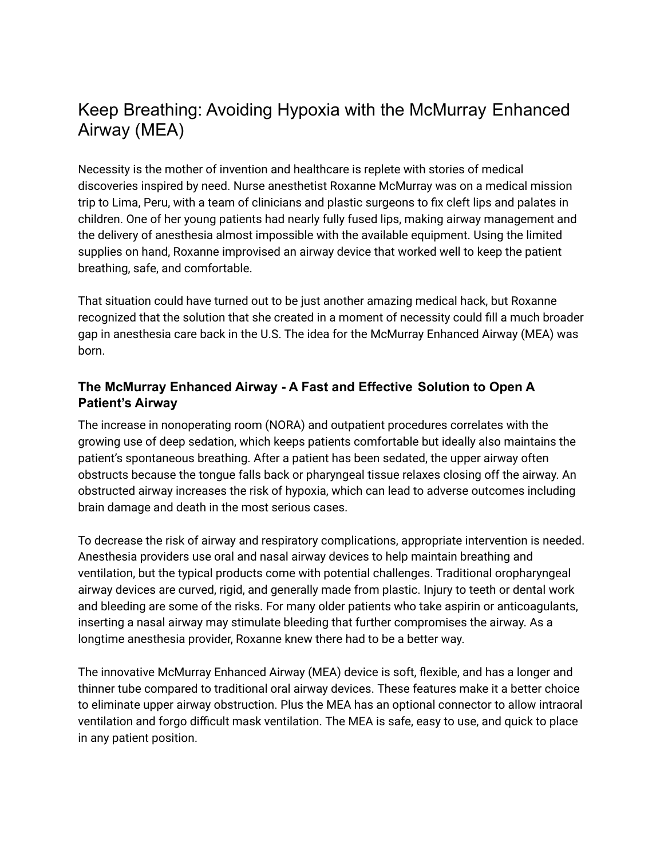# Keep Breathing: Avoiding Hypoxia with the McMurray Enhanced Airway (MEA)

Necessity is the mother of invention and healthcare is replete with stories of medical discoveries inspired by need. Nurse anesthetist Roxanne McMurray was on a medical mission trip to Lima, Peru, with a team of clinicians and plastic surgeons to fix cleft lips and palates in children. One of her young patients had nearly fully fused lips, making airway management and the delivery of anesthesia almost impossible with the available equipment. Using the limited supplies on hand, Roxanne improvised an airway device that worked well to keep the patient breathing, safe, and comfortable.

That situation could have turned out to be just another amazing medical hack, but Roxanne recognized that the solution that she created in a moment of necessity could fill a much broader gap in anesthesia care back in the U.S. The idea for the McMurray Enhanced Airway (MEA) was born.

## **The McMurray Enhanced Airway - A Fast and Effective Solution to Open A Patient's Airway**

The increase in nonoperating room (NORA) and outpatient procedures correlates with the growing use of deep sedation, which keeps patients comfortable but ideally also maintains the patient's spontaneous breathing. After a patient has been sedated, the upper airway often obstructs because the tongue falls back or pharyngeal tissue relaxes closing off the airway. An obstructed airway increases the risk of hypoxia, which can lead to adverse outcomes including brain damage and death in the most serious cases.

To decrease the risk of airway and respiratory complications, appropriate intervention is needed. Anesthesia providers use oral and nasal airway devices to help maintain breathing and ventilation, but the typical products come with potential challenges. Traditional oropharyngeal airway devices are curved, rigid, and generally made from plastic. Injury to teeth or dental work and bleeding are some of the risks. For many older patients who take aspirin or anticoagulants, inserting a nasal airway may stimulate bleeding that further compromises the airway. As a longtime anesthesia provider, Roxanne knew there had to be a better way.

The innovative McMurray Enhanced Airway (MEA) device is soft, flexible, and has a longer and thinner tube compared to traditional oral airway devices. These features make it a better choice to eliminate upper airway obstruction. Plus the MEA has an optional connector to allow intraoral ventilation and forgo difficult mask ventilation. The MEA is safe, easy to use, and quick to place in any patient position.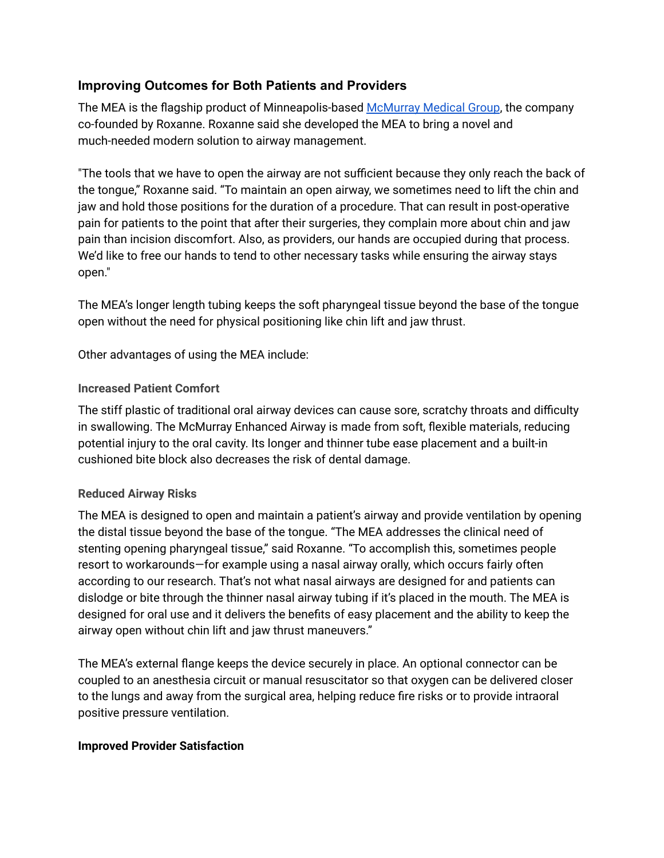## **Improving Outcomes for Both Patients and Providers**

The MEA is the flagship product of Minneapolis-based [McMurray](https://www.mcmurraymed.com/) Medical Group, the company co-founded by Roxanne. Roxanne said she developed the MEA to bring a novel and much-needed modern solution to airway management.

"The tools that we have to open the airway are not sufficient because they only reach the back of the tongue," Roxanne said. "To maintain an open airway, we sometimes need to lift the chin and jaw and hold those positions for the duration of a procedure. That can result in post-operative pain for patients to the point that after their surgeries, they complain more about chin and jaw pain than incision discomfort. Also, as providers, our hands are occupied during that process. We'd like to free our hands to tend to other necessary tasks while ensuring the airway stays open."

The MEA's longer length tubing keeps the soft pharyngeal tissue beyond the base of the tongue open without the need for physical positioning like chin lift and jaw thrust.

Other advantages of using the MEA include:

#### **Increased Patient Comfort**

The stiff plastic of traditional oral airway devices can cause sore, scratchy throats and difficulty in swallowing. The McMurray Enhanced Airway is made from soft, flexible materials, reducing potential injury to the oral cavity. Its longer and thinner tube ease placement and a built-in cushioned bite block also decreases the risk of dental damage.

## **Reduced Airway Risks**

The MEA is designed to open and maintain a patient's airway and provide ventilation by opening the distal tissue beyond the base of the tongue. "The MEA addresses the clinical need of stenting opening pharyngeal tissue," said Roxanne. "To accomplish this, sometimes people resort to workarounds—for example using a nasal airway orally, which occurs fairly often according to our research. That's not what nasal airways are designed for and patients can dislodge or bite through the thinner nasal airway tubing if it's placed in the mouth. The MEA is designed for oral use and it delivers the benefits of easy placement and the ability to keep the airway open without chin lift and jaw thrust maneuvers."

The MEA's external flange keeps the device securely in place. An optional connector can be coupled to an anesthesia circuit or manual resuscitator so that oxygen can be delivered closer to the lungs and away from the surgical area, helping reduce fire risks or to provide intraoral positive pressure ventilation.

#### **Improved Provider Satisfaction**